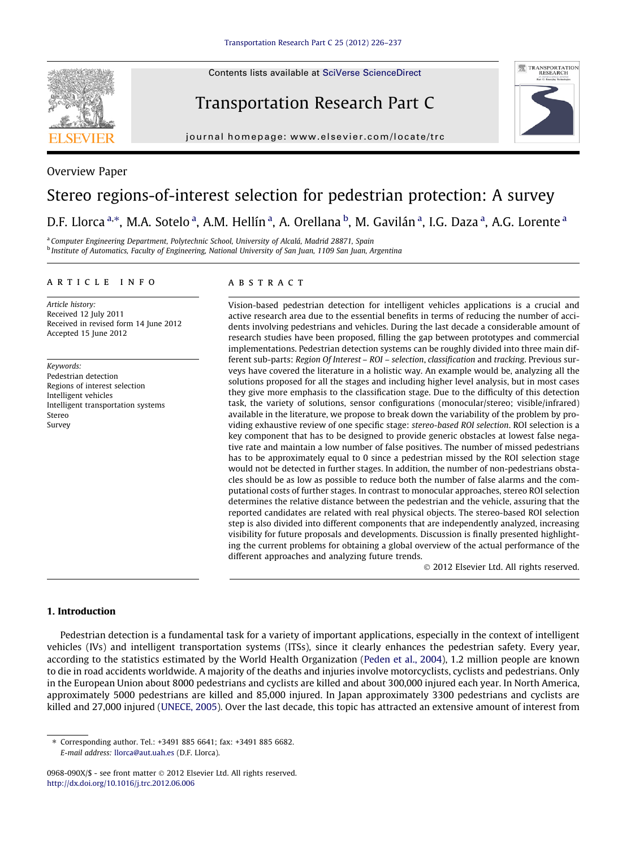Contents lists available at [SciVerse ScienceDirect](http://www.sciencedirect.com/science/journal/0968090X)



Overview Paper

## Transportation Research Part C



journal homepage: [www.elsevier.com/locate/trc](http://www.elsevier.com/locate/trc)

# Stereo regions-of-interest selection for pedestrian protection: A survey

### D.F. Llorca <sup>a,\*</sup>, M.A. Sotelo <sup>a</sup>, A.M. Hellín <sup>a</sup>, A. Orellana <sup>b</sup>, M. Gavilán <sup>a</sup>, I.G. Daza <sup>a</sup>, A.G. Lorente <sup>a</sup>

<sup>a</sup> Computer Engineering Department, Polytechnic School, University of Alcalá, Madrid 28871, Spain <sup>b</sup> Institute of Automatics, Faculty of Engineering, National University of San Juan, 1109 San Juan, Argentina

#### article info

Article history: Received 12 July 2011 Received in revised form 14 June 2012 Accepted 15 June 2012

Keywords: Pedestrian detection Regions of interest selection Intelligent vehicles Intelligent transportation systems Stereo Survey

#### **ABSTRACT**

Vision-based pedestrian detection for intelligent vehicles applications is a crucial and active research area due to the essential benefits in terms of reducing the number of accidents involving pedestrians and vehicles. During the last decade a considerable amount of research studies have been proposed, filling the gap between prototypes and commercial implementations. Pedestrian detection systems can be roughly divided into three main different sub-parts: Region Of Interest – ROI – selection, classification and tracking. Previous surveys have covered the literature in a holistic way. An example would be, analyzing all the solutions proposed for all the stages and including higher level analysis, but in most cases they give more emphasis to the classification stage. Due to the difficulty of this detection task, the variety of solutions, sensor configurations (monocular/stereo; visible/infrared) available in the literature, we propose to break down the variability of the problem by providing exhaustive review of one specific stage: stereo-based ROI selection. ROI selection is a key component that has to be designed to provide generic obstacles at lowest false negative rate and maintain a low number of false positives. The number of missed pedestrians has to be approximately equal to 0 since a pedestrian missed by the ROI selection stage would not be detected in further stages. In addition, the number of non-pedestrians obstacles should be as low as possible to reduce both the number of false alarms and the computational costs of further stages. In contrast to monocular approaches, stereo ROI selection determines the relative distance between the pedestrian and the vehicle, assuring that the reported candidates are related with real physical objects. The stereo-based ROI selection step is also divided into different components that are independently analyzed, increasing visibility for future proposals and developments. Discussion is finally presented highlighting the current problems for obtaining a global overview of the actual performance of the different approaches and analyzing future trends.

- 2012 Elsevier Ltd. All rights reserved.

#### 1. Introduction

Pedestrian detection is a fundamental task for a variety of important applications, especially in the context of intelligent vehicles (IVs) and intelligent transportation systems (ITSs), since it clearly enhances the pedestrian safety. Every year, according to the statistics estimated by the World Health Organization ([Peden et al., 2004\)](#page-11-0), 1.2 million people are known to die in road accidents worldwide. A majority of the deaths and injuries involve motorcyclists, cyclists and pedestrians. Only in the European Union about 8000 pedestrians and cyclists are killed and about 300,000 injured each year. In North America, approximately 5000 pedestrians are killed and 85,000 injured. In Japan approximately 3300 pedestrians and cyclists are killed and 27,000 injured ([UNECE, 2005](#page-11-0)). Over the last decade, this topic has attracted an extensive amount of interest from

<sup>⇑</sup> Corresponding author. Tel.: +3491 885 6641; fax: +3491 885 6682. E-mail address: [llorca@aut.uah.es](mailto:llorca@aut.uah.es) (D.F. Llorca).

<sup>0968-090</sup>X/\$ - see front matter © 2012 Elsevier Ltd. All rights reserved. <http://dx.doi.org/10.1016/j.trc.2012.06.006>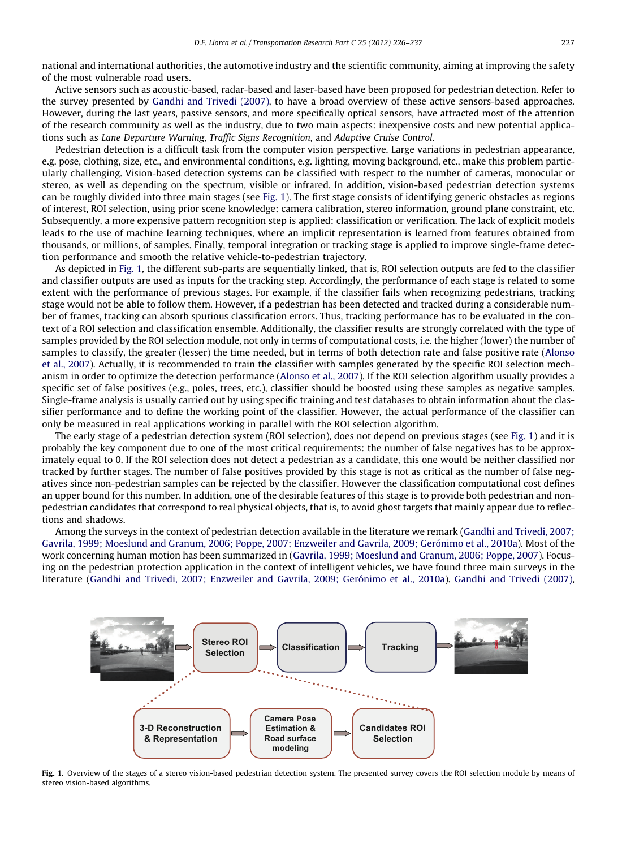<span id="page-1-0"></span>national and international authorities, the automotive industry and the scientific community, aiming at improving the safety of the most vulnerable road users.

Active sensors such as acoustic-based, radar-based and laser-based have been proposed for pedestrian detection. Refer to the survey presented by [Gandhi and Trivedi \(2007\),](#page-10-0) to have a broad overview of these active sensors-based approaches. However, during the last years, passive sensors, and more specifically optical sensors, have attracted most of the attention of the research community as well as the industry, due to two main aspects: inexpensive costs and new potential applications such as Lane Departure Warning, Traffic Signs Recognition, and Adaptive Cruise Control.

Pedestrian detection is a difficult task from the computer vision perspective. Large variations in pedestrian appearance, e.g. pose, clothing, size, etc., and environmental conditions, e.g. lighting, moving background, etc., make this problem particularly challenging. Vision-based detection systems can be classified with respect to the number of cameras, monocular or stereo, as well as depending on the spectrum, visible or infrared. In addition, vision-based pedestrian detection systems can be roughly divided into three main stages (see Fig. 1). The first stage consists of identifying generic obstacles as regions of interest, ROI selection, using prior scene knowledge: camera calibration, stereo information, ground plane constraint, etc. Subsequently, a more expensive pattern recognition step is applied: classification or verification. The lack of explicit models leads to the use of machine learning techniques, where an implicit representation is learned from features obtained from thousands, or millions, of samples. Finally, temporal integration or tracking stage is applied to improve single-frame detection performance and smooth the relative vehicle-to-pedestrian trajectory.

As depicted in Fig. 1, the different sub-parts are sequentially linked, that is, ROI selection outputs are fed to the classifier and classifier outputs are used as inputs for the tracking step. Accordingly, the performance of each stage is related to some extent with the performance of previous stages. For example, if the classifier fails when recognizing pedestrians, tracking stage would not be able to follow them. However, if a pedestrian has been detected and tracked during a considerable number of frames, tracking can absorb spurious classification errors. Thus, tracking performance has to be evaluated in the context of a ROI selection and classification ensemble. Additionally, the classifier results are strongly correlated with the type of samples provided by the ROI selection module, not only in terms of computational costs, i.e. the higher (lower) the number of samples to classify, the greater (lesser) the time needed, but in terms of both detection rate and false positive rate [\(Alonso](#page-10-0) [et al., 2007\)](#page-10-0). Actually, it is recommended to train the classifier with samples generated by the specific ROI selection mechanism in order to optimize the detection performance [\(Alonso et al., 2007](#page-10-0)). If the ROI selection algorithm usually provides a specific set of false positives (e.g., poles, trees, etc.), classifier should be boosted using these samples as negative samples. Single-frame analysis is usually carried out by using specific training and test databases to obtain information about the classifier performance and to define the working point of the classifier. However, the actual performance of the classifier can only be measured in real applications working in parallel with the ROI selection algorithm.

The early stage of a pedestrian detection system (ROI selection), does not depend on previous stages (see Fig. 1) and it is probably the key component due to one of the most critical requirements: the number of false negatives has to be approximately equal to 0. If the ROI selection does not detect a pedestrian as a candidate, this one would be neither classified nor tracked by further stages. The number of false positives provided by this stage is not as critical as the number of false negatives since non-pedestrian samples can be rejected by the classifier. However the classification computational cost defines an upper bound for this number. In addition, one of the desirable features of this stage is to provide both pedestrian and nonpedestrian candidates that correspond to real physical objects, that is, to avoid ghost targets that mainly appear due to reflections and shadows.

Among the surveys in the context of pedestrian detection available in the literature we remark [\(Gandhi and Trivedi, 2007;](#page-10-0) [Gavrila, 1999; Moeslund and Granum, 2006; Poppe, 2007; Enzweiler and Gavrila, 2009; Gerónimo et al., 2010a](#page-10-0)). Most of the work concerning human motion has been summarized in ([Gavrila, 1999; Moeslund and Granum, 2006; Poppe, 2007\)](#page-10-0). Focusing on the pedestrian protection application in the context of intelligent vehicles, we have found three main surveys in the literature ([Gandhi and Trivedi, 2007; Enzweiler and Gavrila, 2009; Gerónimo et al., 2010a\)](#page-10-0). [Gandhi and Trivedi \(2007\)](#page-10-0),



Fig. 1. Overview of the stages of a stereo vision-based pedestrian detection system. The presented survey covers the ROI selection module by means of stereo vision-based algorithms.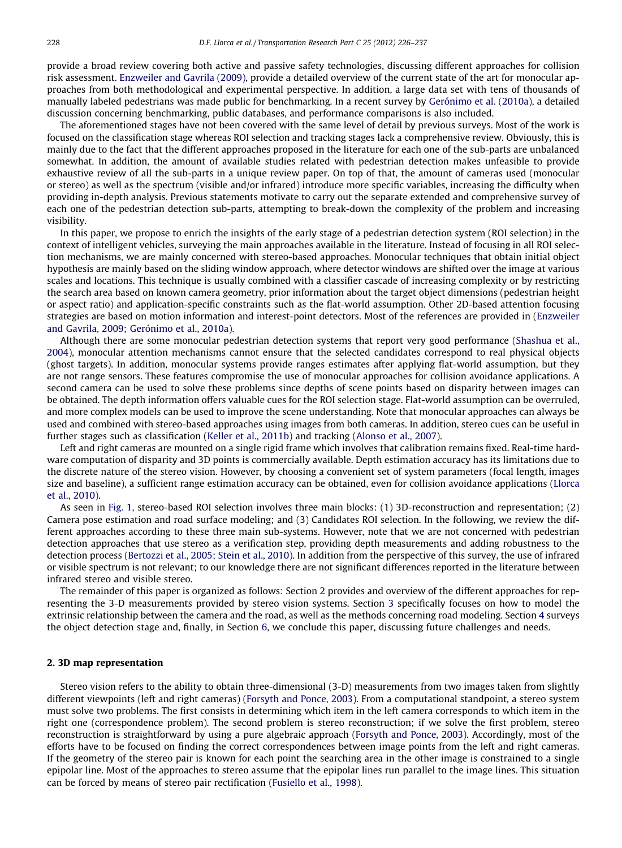provide a broad review covering both active and passive safety technologies, discussing different approaches for collision risk assessment. [Enzweiler and Gavrila \(2009\)](#page-10-0), provide a detailed overview of the current state of the art for monocular approaches from both methodological and experimental perspective. In addition, a large data set with tens of thousands of manually labeled pedestrians was made public for benchmarking. In a recent survey by [Gerónimo et al. \(2010a\),](#page-10-0) a detailed discussion concerning benchmarking, public databases, and performance comparisons is also included.

The aforementioned stages have not been covered with the same level of detail by previous surveys. Most of the work is focused on the classification stage whereas ROI selection and tracking stages lack a comprehensive review. Obviously, this is mainly due to the fact that the different approaches proposed in the literature for each one of the sub-parts are unbalanced somewhat. In addition, the amount of available studies related with pedestrian detection makes unfeasible to provide exhaustive review of all the sub-parts in a unique review paper. On top of that, the amount of cameras used (monocular or stereo) as well as the spectrum (visible and/or infrared) introduce more specific variables, increasing the difficulty when providing in-depth analysis. Previous statements motivate to carry out the separate extended and comprehensive survey of each one of the pedestrian detection sub-parts, attempting to break-down the complexity of the problem and increasing visibility.

In this paper, we propose to enrich the insights of the early stage of a pedestrian detection system (ROI selection) in the context of intelligent vehicles, surveying the main approaches available in the literature. Instead of focusing in all ROI selection mechanisms, we are mainly concerned with stereo-based approaches. Monocular techniques that obtain initial object hypothesis are mainly based on the sliding window approach, where detector windows are shifted over the image at various scales and locations. This technique is usually combined with a classifier cascade of increasing complexity or by restricting the search area based on known camera geometry, prior information about the target object dimensions (pedestrian height or aspect ratio) and application-specific constraints such as the flat-world assumption. Other 2D-based attention focusing strategies are based on motion information and interest-point detectors. Most of the references are provided in [\(Enzweiler](#page-10-0) [and Gavrila, 2009; Gerónimo et al., 2010a](#page-10-0)).

Although there are some monocular pedestrian detection systems that report very good performance ([Shashua et al.,](#page-11-0) [2004](#page-11-0)), monocular attention mechanisms cannot ensure that the selected candidates correspond to real physical objects (ghost targets). In addition, monocular systems provide ranges estimates after applying flat-world assumption, but they are not range sensors. These features compromise the use of monocular approaches for collision avoidance applications. A second camera can be used to solve these problems since depths of scene points based on disparity between images can be obtained. The depth information offers valuable cues for the ROI selection stage. Flat-world assumption can be overruled, and more complex models can be used to improve the scene understanding. Note that monocular approaches can always be used and combined with stereo-based approaches using images from both cameras. In addition, stereo cues can be useful in further stages such as classification [\(Keller et al., 2011b](#page-10-0)) and tracking ([Alonso et al., 2007](#page-10-0)).

Left and right cameras are mounted on a single rigid frame which involves that calibration remains fixed. Real-time hardware computation of disparity and 3D points is commercially available. Depth estimation accuracy has its limitations due to the discrete nature of the stereo vision. However, by choosing a convenient set of system parameters (focal length, images size and baseline), a sufficient range estimation accuracy can be obtained, even for collision avoidance applications ([Llorca](#page-10-0) [et al., 2010](#page-10-0)).

As seen in [Fig. 1,](#page-1-0) stereo-based ROI selection involves three main blocks: (1) 3D-reconstruction and representation; (2) Camera pose estimation and road surface modeling; and (3) Candidates ROI selection. In the following, we review the different approaches according to these three main sub-systems. However, note that we are not concerned with pedestrian detection approaches that use stereo as a verification step, providing depth measurements and adding robustness to the detection process [\(Bertozzi et al., 2005; Stein et al., 2010](#page-10-0)). In addition from the perspective of this survey, the use of infrared or visible spectrum is not relevant; to our knowledge there are not significant differences reported in the literature between infrared stereo and visible stereo.

The remainder of this paper is organized as follows: Section 2 provides and overview of the different approaches for representing the 3-D measurements provided by stereo vision systems. Section 3 specifically focuses on how to model the extrinsic relationship between the camera and the road, as well as the methods concerning road modeling. Section 4 surveys the object detection stage and, finally, in Section 6, we conclude this paper, discussing future challenges and needs.

#### 2. 3D map representation

Stereo vision refers to the ability to obtain three-dimensional (3-D) measurements from two images taken from slightly different viewpoints (left and right cameras) ([Forsyth and Ponce, 2003\)](#page-10-0). From a computational standpoint, a stereo system must solve two problems. The first consists in determining which item in the left camera corresponds to which item in the right one (correspondence problem). The second problem is stereo reconstruction; if we solve the first problem, stereo reconstruction is straightforward by using a pure algebraic approach [\(Forsyth and Ponce, 2003\)](#page-10-0). Accordingly, most of the efforts have to be focused on finding the correct correspondences between image points from the left and right cameras. If the geometry of the stereo pair is known for each point the searching area in the other image is constrained to a single epipolar line. Most of the approaches to stereo assume that the epipolar lines run parallel to the image lines. This situation can be forced by means of stereo pair rectification ([Fusiello et al., 1998](#page-10-0)).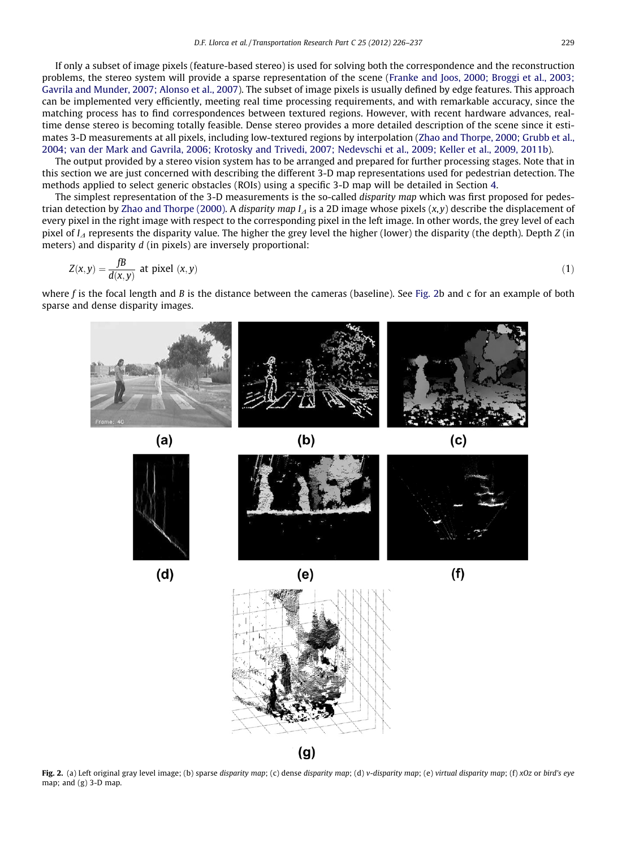<span id="page-3-0"></span>If only a subset of image pixels (feature-based stereo) is used for solving both the correspondence and the reconstruction problems, the stereo system will provide a sparse representation of the scene ([Franke and Joos, 2000; Broggi et al., 2003;](#page-10-0) [Gavrila and Munder, 2007; Alonso et al., 2007\)](#page-10-0). The subset of image pixels is usually defined by edge features. This approach can be implemented very efficiently, meeting real time processing requirements, and with remarkable accuracy, since the matching process has to find correspondences between textured regions. However, with recent hardware advances, realtime dense stereo is becoming totally feasible. Dense stereo provides a more detailed description of the scene since it estimates 3-D measurements at all pixels, including low-textured regions by interpolation ([Zhao and Thorpe, 2000; Grubb et al.,](#page-11-0) [2004; van der Mark and Gavrila, 2006; Krotosky and Trivedi, 2007; Nedevschi et al., 2009; Keller et al., 2009, 2011b\)](#page-11-0).

The output provided by a stereo vision system has to be arranged and prepared for further processing stages. Note that in this section we are just concerned with describing the different 3-D map representations used for pedestrian detection. The methods applied to select generic obstacles (ROIs) using a specific 3-D map will be detailed in Section 4.

The simplest representation of the 3-D measurements is the so-called disparity map which was first proposed for pedes-trian detection by [Zhao and Thorpe \(2000\)](#page-11-0). A disparity map  $I<sub>A</sub>$  is a 2D image whose pixels  $(x,y)$  describe the displacement of every pixel in the right image with respect to the corresponding pixel in the left image. In other words, the grey level of each pixel of  $I<sub>A</sub>$  represents the disparity value. The higher the grey level the higher (lower) the disparity (the depth). Depth Z (in meters) and disparity d (in pixels) are inversely proportional:

$$
Z(x,y) = \frac{fB}{d(x,y)} \text{ at pixel } (x,y) \tag{1}
$$

where f is the focal length and B is the distance between the cameras (baseline). See Fig. 2b and c for an example of both sparse and dense disparity images.



Fig. 2. (a) Left original gray level image; (b) sparse disparity map; (c) dense disparity map; (d) v-disparity map; (e) virtual disparity map; (f) xOz or bird's eye map; and  $(g)$  3-D map.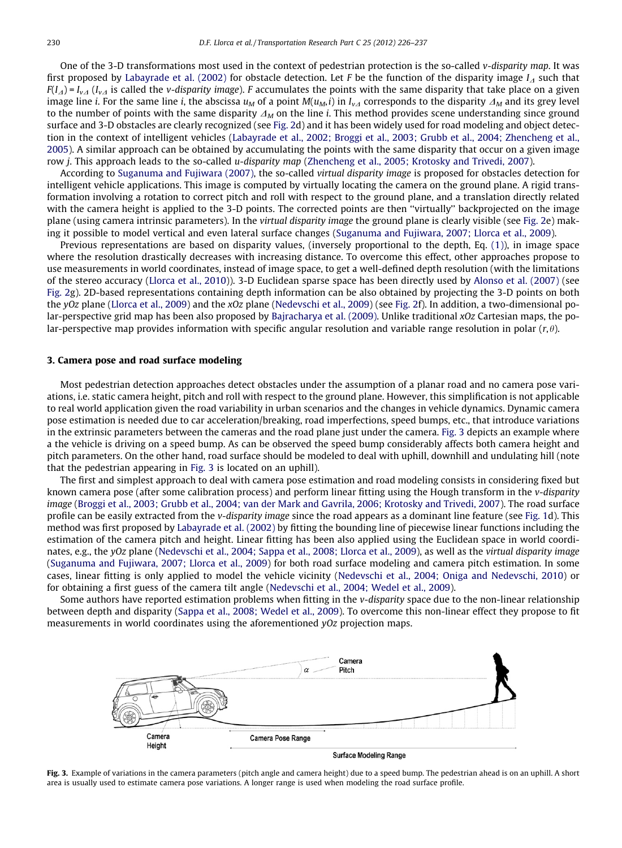One of the 3-D transformations most used in the context of pedestrian protection is the so-called v-disparity map. It was first proposed by [Labayrade et al. \(2002\)](#page-10-0) for obstacle detection. Let F be the function of the disparity image  $I<sub>A</sub>$  such that  $F(I_A) = I_{vA}$  ( $I_{vA}$  is called the *v-disparity image*). F accumulates the points with the same disparity that take place on a given image line *i*. For the same line *i*, the abscissa  $u_M$  of a point  $M(u_M, i)$  in  $I_{vA}$  corresponds to the disparity  $\Delta_M$  and its grey level to the number of points with the same disparity  $\Delta_M$  on the line i. This method provides scene understanding since ground surface and 3-D obstacles are clearly recognized (see [Fig. 2](#page-3-0)d) and it has been widely used for road modeling and object detection in the context of intelligent vehicles ([Labayrade et al., 2002; Broggi et al., 2003; Grubb et al., 2004; Zhencheng et al.,](#page-10-0) [2005](#page-10-0)). A similar approach can be obtained by accumulating the points with the same disparity that occur on a given image row *j*. This approach leads to the so-called *u-disparity map* [\(Zhencheng et al., 2005; Krotosky and Trivedi, 2007](#page-11-0)).

According to [Suganuma and Fujiwara \(2007\)](#page-11-0), the so-called virtual disparity image is proposed for obstacles detection for intelligent vehicle applications. This image is computed by virtually locating the camera on the ground plane. A rigid transformation involving a rotation to correct pitch and roll with respect to the ground plane, and a translation directly related with the camera height is applied to the 3-D points. The corrected points are then ''virtually'' backprojected on the image plane (using camera intrinsic parameters). In the virtual disparity image the ground plane is clearly visible (see [Fig. 2](#page-3-0)e) making it possible to model vertical and even lateral surface changes [\(Suganuma and Fujiwara, 2007; Llorca et al., 2009\)](#page-11-0).

Previous representations are based on disparity values, (inversely proportional to the depth, Eq. [\(1\)](#page-3-0)), in image space where the resolution drastically decreases with increasing distance. To overcome this effect, other approaches propose to use measurements in world coordinates, instead of image space, to get a well-defined depth resolution (with the limitations of the stereo accuracy ([Llorca et al., 2010\)](#page-10-0)). 3-D Euclidean sparse space has been directly used by [Alonso et al. \(2007\)](#page-10-0) (see [Fig. 2](#page-3-0)g). 2D-based representations containing depth information can be also obtained by projecting the 3-D points on both the yOz plane [\(Llorca et al., 2009\)](#page-11-0) and the xOz plane [\(Nedevschi et al., 2009](#page-11-0)) (see [Fig. 2](#page-3-0)f). In addition, a two-dimensional po-lar-perspective grid map has been also proposed by [Bajracharya et al. \(2009\).](#page-10-0) Unlike traditional xOz Cartesian maps, the polar-perspective map provides information with specific angular resolution and variable range resolution in polar  $(r,\theta)$ .

#### 3. Camera pose and road surface modeling

Most pedestrian detection approaches detect obstacles under the assumption of a planar road and no camera pose variations, i.e. static camera height, pitch and roll with respect to the ground plane. However, this simplification is not applicable to real world application given the road variability in urban scenarios and the changes in vehicle dynamics. Dynamic camera pose estimation is needed due to car acceleration/breaking, road imperfections, speed bumps, etc., that introduce variations in the extrinsic parameters between the cameras and the road plane just under the camera. Fig. 3 depicts an example where a the vehicle is driving on a speed bump. As can be observed the speed bump considerably affects both camera height and pitch parameters. On the other hand, road surface should be modeled to deal with uphill, downhill and undulating hill (note that the pedestrian appearing in Fig. 3 is located on an uphill).

The first and simplest approach to deal with camera pose estimation and road modeling consists in considering fixed but known camera pose (after some calibration process) and perform linear fitting using the Hough transform in the v-disparity image [\(Broggi et al., 2003; Grubb et al., 2004; van der Mark and Gavrila, 2006; Krotosky and Trivedi, 2007\)](#page-10-0). The road surface profile can be easily extracted from the v-disparity image since the road appears as a dominant line feature (see [Fig. 1d](#page-1-0)). This method was first proposed by [Labayrade et al. \(2002\)](#page-10-0) by fitting the bounding line of piecewise linear functions including the estimation of the camera pitch and height. Linear fitting has been also applied using the Euclidean space in world coordinates, e.g., the yOz plane ([Nedevschi et al., 2004; Sappa et al., 2008; Llorca et al., 2009\)](#page-11-0), as well as the virtual disparity image [\(Suganuma and Fujiwara, 2007; Llorca et al., 2009](#page-11-0)) for both road surface modeling and camera pitch estimation. In some cases, linear fitting is only applied to model the vehicle vicinity [\(Nedevschi et al., 2004; Oniga and Nedevschi, 2010](#page-11-0)) or for obtaining a first guess of the camera tilt angle [\(Nedevschi et al., 2004; Wedel et al., 2009](#page-11-0)).

Some authors have reported estimation problems when fitting in the v-disparity space due to the non-linear relationship between depth and disparity [\(Sappa et al., 2008; Wedel et al., 2009\)](#page-10-0). To overcome this non-linear effect they propose to fit measurements in world coordinates using the aforementioned yOz projection maps.



Fig. 3. Example of variations in the camera parameters (pitch angle and camera height) due to a speed bump. The pedestrian ahead is on an uphill. A short area is usually used to estimate camera pose variations. A longer range is used when modeling the road surface profile.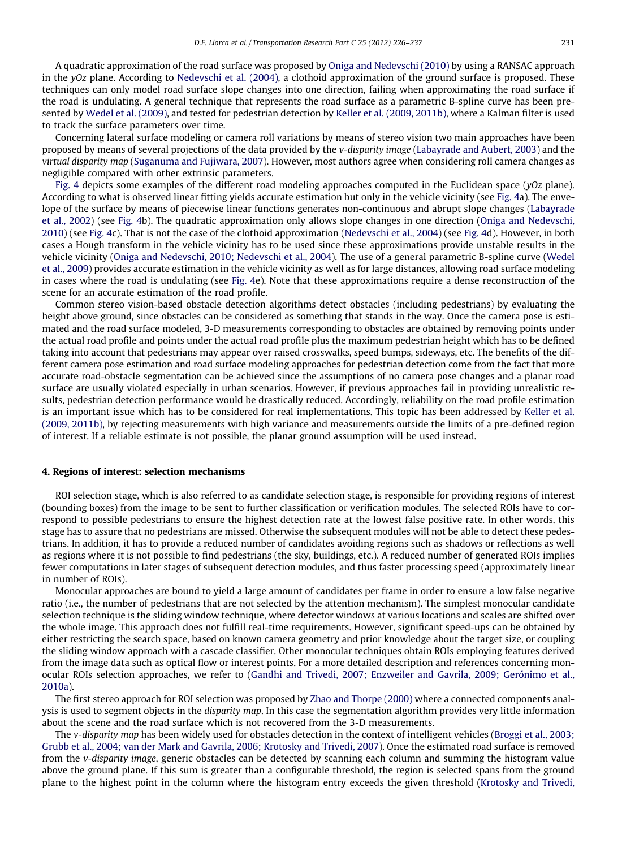A quadratic approximation of the road surface was proposed by [Oniga and Nedevschi \(2010\)](#page-11-0) by using a RANSAC approach in the yOz plane. According to [Nedevschi et al. \(2004\)](#page-11-0), a clothoid approximation of the ground surface is proposed. These techniques can only model road surface slope changes into one direction, failing when approximating the road surface if the road is undulating. A general technique that represents the road surface as a parametric B-spline curve has been presented by [Wedel et al. \(2009\)](#page-11-0), and tested for pedestrian detection by [Keller et al. \(2009, 2011b\),](#page-10-0) where a Kalman filter is used to track the surface parameters over time.

Concerning lateral surface modeling or camera roll variations by means of stereo vision two main approaches have been proposed by means of several projections of the data provided by the v-disparity image ([Labayrade and Aubert, 2003\)](#page-10-0) and the virtual disparity map [\(Suganuma and Fujiwara, 2007\)](#page-11-0). However, most authors agree when considering roll camera changes as negligible compared with other extrinsic parameters.

[Fig. 4](#page-6-0) depicts some examples of the different road modeling approaches computed in the Euclidean space (yOz plane). According to what is observed linear fitting yields accurate estimation but only in the vehicle vicinity (see [Fig. 4a](#page-6-0)). The envelope of the surface by means of piecewise linear functions generates non-continuous and abrupt slope changes ([Labayrade](#page-10-0) [et al., 2002](#page-10-0)) (see [Fig. 4](#page-6-0)b). The quadratic approximation only allows slope changes in one direction ([Oniga and Nedevschi,](#page-11-0) [2010\)](#page-11-0) (see [Fig. 4](#page-6-0)c). That is not the case of the clothoid approximation ([Nedevschi et al., 2004\)](#page-11-0) (see [Fig. 4](#page-6-0)d). However, in both cases a Hough transform in the vehicle vicinity has to be used since these approximations provide unstable results in the vehicle vicinity ([Oniga and Nedevschi, 2010; Nedevschi et al., 2004](#page-11-0)). The use of a general parametric B-spline curve ([Wedel](#page-11-0) [et al., 2009](#page-11-0)) provides accurate estimation in the vehicle vicinity as well as for large distances, allowing road surface modeling in cases where the road is undulating (see [Fig. 4e](#page-6-0)). Note that these approximations require a dense reconstruction of the scene for an accurate estimation of the road profile.

Common stereo vision-based obstacle detection algorithms detect obstacles (including pedestrians) by evaluating the height above ground, since obstacles can be considered as something that stands in the way. Once the camera pose is estimated and the road surface modeled, 3-D measurements corresponding to obstacles are obtained by removing points under the actual road profile and points under the actual road profile plus the maximum pedestrian height which has to be defined taking into account that pedestrians may appear over raised crosswalks, speed bumps, sideways, etc. The benefits of the different camera pose estimation and road surface modeling approaches for pedestrian detection come from the fact that more accurate road-obstacle segmentation can be achieved since the assumptions of no camera pose changes and a planar road surface are usually violated especially in urban scenarios. However, if previous approaches fail in providing unrealistic results, pedestrian detection performance would be drastically reduced. Accordingly, reliability on the road profile estimation is an important issue which has to be considered for real implementations. This topic has been addressed by [Keller et al.](#page-10-0) [\(2009, 2011b\),](#page-10-0) by rejecting measurements with high variance and measurements outside the limits of a pre-defined region of interest. If a reliable estimate is not possible, the planar ground assumption will be used instead.

#### 4. Regions of interest: selection mechanisms

ROI selection stage, which is also referred to as candidate selection stage, is responsible for providing regions of interest (bounding boxes) from the image to be sent to further classification or verification modules. The selected ROIs have to correspond to possible pedestrians to ensure the highest detection rate at the lowest false positive rate. In other words, this stage has to assure that no pedestrians are missed. Otherwise the subsequent modules will not be able to detect these pedestrians. In addition, it has to provide a reduced number of candidates avoiding regions such as shadows or reflections as well as regions where it is not possible to find pedestrians (the sky, buildings, etc.). A reduced number of generated ROIs implies fewer computations in later stages of subsequent detection modules, and thus faster processing speed (approximately linear in number of ROIs).

Monocular approaches are bound to yield a large amount of candidates per frame in order to ensure a low false negative ratio (i.e., the number of pedestrians that are not selected by the attention mechanism). The simplest monocular candidate selection technique is the sliding window technique, where detector windows at various locations and scales are shifted over the whole image. This approach does not fulfill real-time requirements. However, significant speed-ups can be obtained by either restricting the search space, based on known camera geometry and prior knowledge about the target size, or coupling the sliding window approach with a cascade classifier. Other monocular techniques obtain ROIs employing features derived from the image data such as optical flow or interest points. For a more detailed description and references concerning monocular ROIs selection approaches, we refer to ([Gandhi and Trivedi, 2007; Enzweiler and Gavrila, 2009; Gerónimo et al.,](#page-10-0) [2010a\)](#page-10-0).

The first stereo approach for ROI selection was proposed by [Zhao and Thorpe \(2000\)](#page-11-0) where a connected components analysis is used to segment objects in the *disparity map*. In this case the segmentation algorithm provides very little information about the scene and the road surface which is not recovered from the 3-D measurements.

The v-disparity map has been widely used for obstacles detection in the context of intelligent vehicles [\(Broggi et al., 2003;](#page-10-0) [Grubb et al., 2004; van der Mark and Gavrila, 2006; Krotosky and Trivedi, 2007\)](#page-10-0). Once the estimated road surface is removed from the v-disparity image, generic obstacles can be detected by scanning each column and summing the histogram value above the ground plane. If this sum is greater than a configurable threshold, the region is selected spans from the ground plane to the highest point in the column where the histogram entry exceeds the given threshold ([Krotosky and Trivedi,](#page-10-0)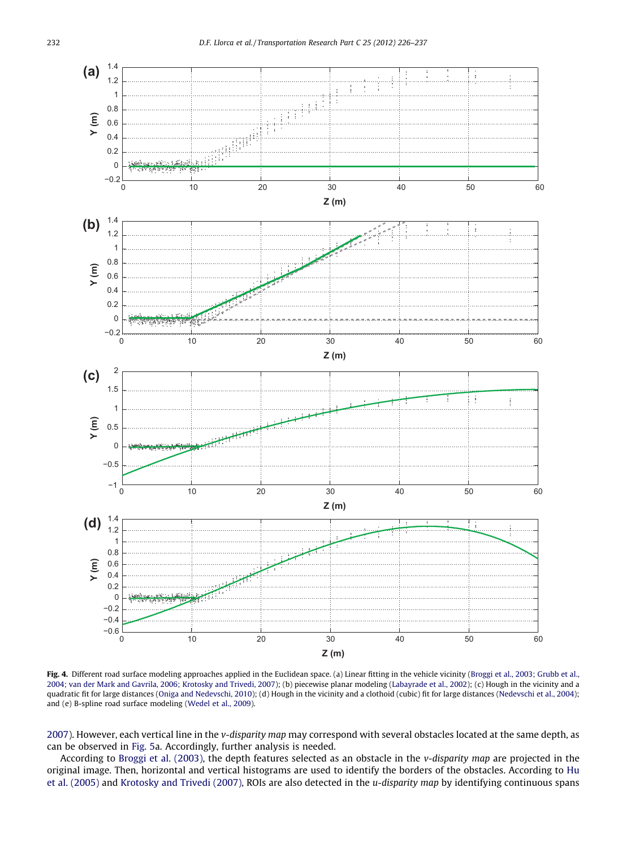<span id="page-6-0"></span>

Fig. 4. Different road surface modeling approaches applied in the Euclidean space. (a) Linear fitting in the vehicle vicinity [\(Broggi et al., 2003; Grubb et al.,](#page-10-0) [2004; van der Mark and Gavrila, 2006; Krotosky and Trivedi, 2007](#page-10-0)); (b) piecewise planar modeling [\(Labayrade et al., 2002](#page-10-0)); (c) Hough in the vicinity and a quadratic fit for large distances ([Oniga and Nedevschi, 2010\)](#page-11-0); (d) Hough in the vicinity and a clothoid (cubic) fit for large distances [\(Nedevschi et al., 2004\)](#page-11-0); and (e) B-spline road surface modeling [\(Wedel et al., 2009\)](#page-11-0).

[2007](#page-10-0)). However, each vertical line in the v-disparity map may correspond with several obstacles located at the same depth, as can be observed in [Fig. 5a](#page-7-0). Accordingly, further analysis is needed.

According to [Broggi et al. \(2003\),](#page-10-0) the depth features selected as an obstacle in the v-disparity map are projected in the original image. Then, horizontal and vertical histograms are used to identify the borders of the obstacles. According to [Hu](#page-10-0) [et al. \(2005\)](#page-10-0) and [Krotosky and Trivedi \(2007\),](#page-10-0) ROIs are also detected in the u-disparity map by identifying continuous spans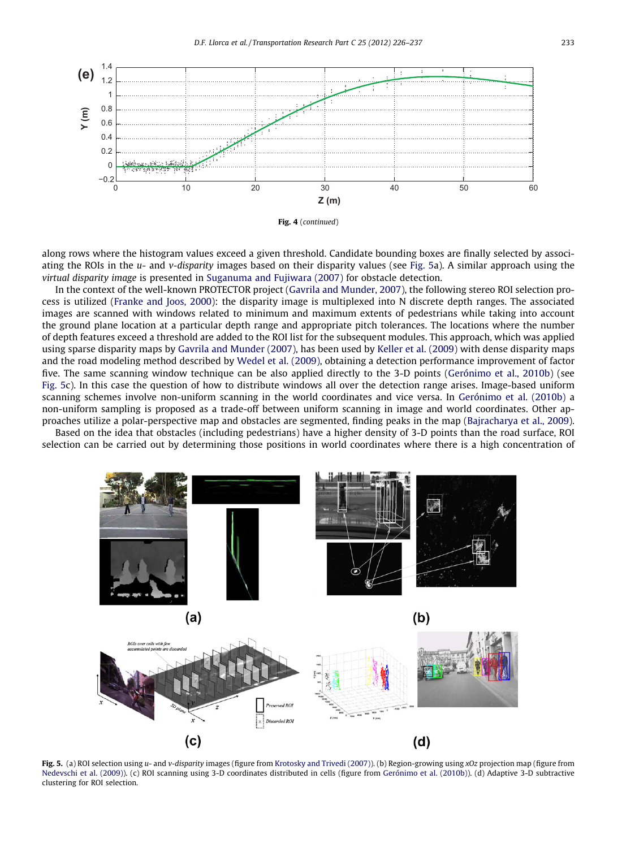<span id="page-7-0"></span>



along rows where the histogram values exceed a given threshold. Candidate bounding boxes are finally selected by associating the ROIs in the  $u$ - and v-disparity images based on their disparity values (see Fig. 5a). A similar approach using the virtual disparity image is presented in [Suganuma and Fujiwara \(2007\)](#page-11-0) for obstacle detection.

In the context of the well-known PROTECTOR project [\(Gavrila and Munder, 2007](#page-10-0)), the following stereo ROI selection process is utilized ([Franke and Joos, 2000](#page-10-0)): the disparity image is multiplexed into N discrete depth ranges. The associated images are scanned with windows related to minimum and maximum extents of pedestrians while taking into account the ground plane location at a particular depth range and appropriate pitch tolerances. The locations where the number of depth features exceed a threshold are added to the ROI list for the subsequent modules. This approach, which was applied using sparse disparity maps by [Gavrila and Munder \(2007\),](#page-10-0) has been used by [Keller et al. \(2009\)](#page-10-0) with dense disparity maps and the road modeling method described by [Wedel et al. \(2009\)](#page-11-0), obtaining a detection performance improvement of factor five. The same scanning window technique can be also applied directly to the 3-D points [\(Gerónimo et al., 2010b\)](#page-10-0) (see Fig. 5c). In this case the question of how to distribute windows all over the detection range arises. Image-based uniform scanning schemes involve non-uniform scanning in the world coordinates and vice versa. In [Gerónimo et al. \(2010b\)](#page-10-0) a non-uniform sampling is proposed as a trade-off between uniform scanning in image and world coordinates. Other approaches utilize a polar-perspective map and obstacles are segmented, finding peaks in the map [\(Bajracharya et al., 2009](#page-10-0)).

Based on the idea that obstacles (including pedestrians) have a higher density of 3-D points than the road surface, ROI selection can be carried out by determining those positions in world coordinates where there is a high concentration of



Fig. 5. (a) ROI selection using u- and v-disparity images (figure from [Krotosky and Trivedi \(2007\)](#page-10-0)). (b) Region-growing using xOz projection map (figure from [Nedevschi et al. \(2009\)\)](#page-11-0). (c) ROI scanning using 3-D coordinates distributed in cells (figure from [Gerónimo et al. \(2010b\)](#page-10-0)). (d) Adaptive 3-D subtractive clustering for ROI selection.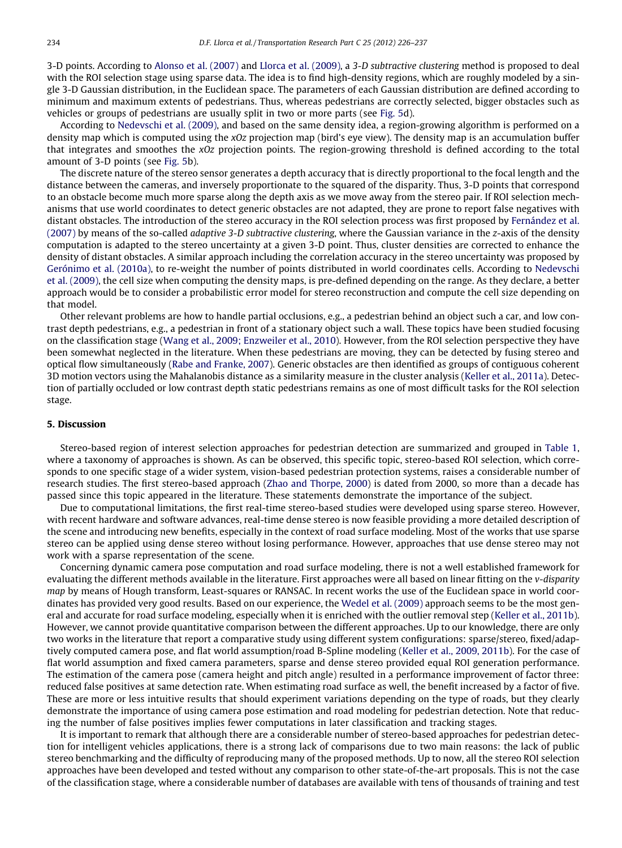3-D points. According to [Alonso et al. \(2007\)](#page-10-0) and [Llorca et al. \(2009\)](#page-11-0), a 3-D subtractive clustering method is proposed to deal with the ROI selection stage using sparse data. The idea is to find high-density regions, which are roughly modeled by a single 3-D Gaussian distribution, in the Euclidean space. The parameters of each Gaussian distribution are defined according to minimum and maximum extents of pedestrians. Thus, whereas pedestrians are correctly selected, bigger obstacles such as vehicles or groups of pedestrians are usually split in two or more parts (see [Fig. 5](#page-7-0)d).

According to [Nedevschi et al. \(2009\),](#page-11-0) and based on the same density idea, a region-growing algorithm is performed on a density map which is computed using the xOz projection map (bird's eye view). The density map is an accumulation buffer that integrates and smoothes the  $xOz$  projection points. The region-growing threshold is defined according to the total amount of 3-D points (see [Fig. 5](#page-7-0)b).

The discrete nature of the stereo sensor generates a depth accuracy that is directly proportional to the focal length and the distance between the cameras, and inversely proportionate to the squared of the disparity. Thus, 3-D points that correspond to an obstacle become much more sparse along the depth axis as we move away from the stereo pair. If ROI selection mechanisms that use world coordinates to detect generic obstacles are not adapted, they are prone to report false negatives with distant obstacles. The introduction of the stereo accuracy in the ROI selection process was first proposed by [Fernández et al.](#page-10-0) [\(2007\)](#page-10-0) by means of the so-called adaptive 3-D subtractive clustering, where the Gaussian variance in the z-axis of the density computation is adapted to the stereo uncertainty at a given 3-D point. Thus, cluster densities are corrected to enhance the density of distant obstacles. A similar approach including the correlation accuracy in the stereo uncertainty was proposed by [Gerónimo et al. \(2010a\),](#page-10-0) to re-weight the number of points distributed in world coordinates cells. According to [Nedevschi](#page-11-0) [et al. \(2009\)](#page-11-0), the cell size when computing the density maps, is pre-defined depending on the range. As they declare, a better approach would be to consider a probabilistic error model for stereo reconstruction and compute the cell size depending on that model.

Other relevant problems are how to handle partial occlusions, e.g., a pedestrian behind an object such a car, and low contrast depth pedestrians, e.g., a pedestrian in front of a stationary object such a wall. These topics have been studied focusing on the classification stage [\(Wang et al., 2009; Enzweiler et al., 2010\)](#page-11-0). However, from the ROI selection perspective they have been somewhat neglected in the literature. When these pedestrians are moving, they can be detected by fusing stereo and optical flow simultaneously ([Rabe and Franke, 2007\)](#page-10-0). Generic obstacles are then identified as groups of contiguous coherent 3D motion vectors using the Mahalanobis distance as a similarity measure in the cluster analysis ([Keller et al., 2011a\)](#page-10-0). Detection of partially occluded or low contrast depth static pedestrians remains as one of most difficult tasks for the ROI selection stage.

#### 5. Discussion

Stereo-based region of interest selection approaches for pedestrian detection are summarized and grouped in [Table 1,](#page-9-0) where a taxonomy of approaches is shown. As can be observed, this specific topic, stereo-based ROI selection, which corresponds to one specific stage of a wider system, vision-based pedestrian protection systems, raises a considerable number of research studies. The first stereo-based approach ([Zhao and Thorpe, 2000\)](#page-11-0) is dated from 2000, so more than a decade has passed since this topic appeared in the literature. These statements demonstrate the importance of the subject.

Due to computational limitations, the first real-time stereo-based studies were developed using sparse stereo. However, with recent hardware and software advances, real-time dense stereo is now feasible providing a more detailed description of the scene and introducing new benefits, especially in the context of road surface modeling. Most of the works that use sparse stereo can be applied using dense stereo without losing performance. However, approaches that use dense stereo may not work with a sparse representation of the scene.

Concerning dynamic camera pose computation and road surface modeling, there is not a well established framework for evaluating the different methods available in the literature. First approaches were all based on linear fitting on the v-disparity map by means of Hough transform, Least-squares or RANSAC. In recent works the use of the Euclidean space in world coordinates has provided very good results. Based on our experience, the [Wedel et al. \(2009\)](#page-11-0) approach seems to be the most general and accurate for road surface modeling, especially when it is enriched with the outlier removal step [\(Keller et al., 2011b](#page-10-0)). However, we cannot provide quantitative comparison between the different approaches. Up to our knowledge, there are only two works in the literature that report a comparative study using different system configurations: sparse/stereo, fixed/adaptively computed camera pose, and flat world assumption/road B-Spline modeling [\(Keller et al., 2009, 2011b\)](#page-10-0). For the case of flat world assumption and fixed camera parameters, sparse and dense stereo provided equal ROI generation performance. The estimation of the camera pose (camera height and pitch angle) resulted in a performance improvement of factor three: reduced false positives at same detection rate. When estimating road surface as well, the benefit increased by a factor of five. These are more or less intuitive results that should experiment variations depending on the type of roads, but they clearly demonstrate the importance of using camera pose estimation and road modeling for pedestrian detection. Note that reducing the number of false positives implies fewer computations in later classification and tracking stages.

It is important to remark that although there are a considerable number of stereo-based approaches for pedestrian detection for intelligent vehicles applications, there is a strong lack of comparisons due to two main reasons: the lack of public stereo benchmarking and the difficulty of reproducing many of the proposed methods. Up to now, all the stereo ROI selection approaches have been developed and tested without any comparison to other state-of-the-art proposals. This is not the case of the classification stage, where a considerable number of databases are available with tens of thousands of training and test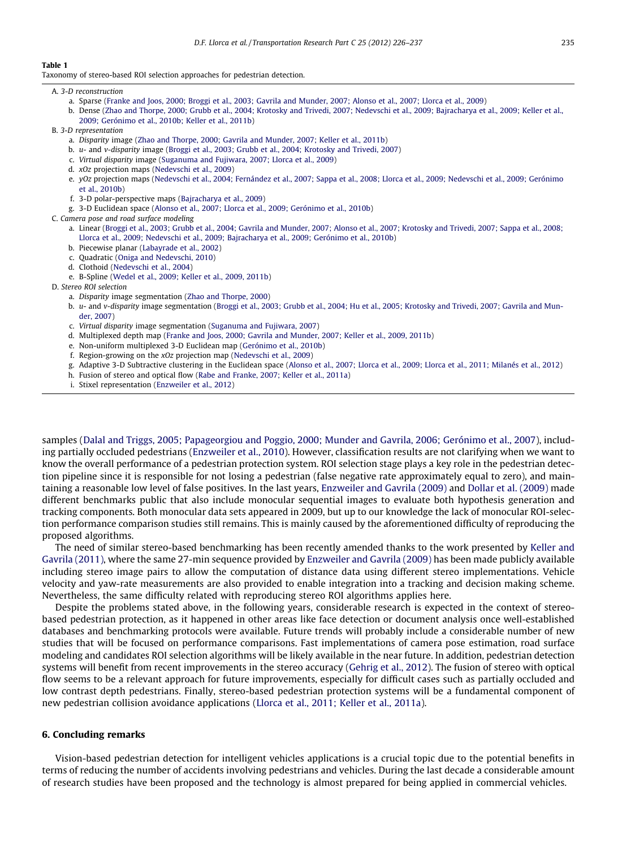#### <span id="page-9-0"></span>Table 1

Taxonomy of stereo-based ROI selection approaches for pedestrian detection.

#### A. 3-D reconstruction

- a. Sparse ([Franke and Joos, 2000; Broggi et al., 2003; Gavrila and Munder, 2007; Alonso et al., 2007; Llorca et al., 2009\)](#page-10-0)
- b. Dense [\(Zhao and Thorpe, 2000; Grubb et al., 2004; Krotosky and Trivedi, 2007; Nedevschi et al., 2009; Bajracharya et al., 2009; Keller et al.,](#page-11-0) [2009; Gerónimo et al., 2010b; Keller et al., 2011b](#page-11-0))
- B. 3-D representation
	- a. Disparity image ([Zhao and Thorpe, 2000; Gavrila and Munder, 2007; Keller et al., 2011b\)](#page-11-0)
	- b. u- and v-disparity image ([Broggi et al., 2003; Grubb et al., 2004; Krotosky and Trivedi, 2007\)](#page-10-0)
	- c. Virtual disparity image ([Suganuma and Fujiwara, 2007; Llorca et al., 2009](#page-11-0))
	- d. xOz projection maps ([Nedevschi et al., 2009\)](#page-11-0)
	- e. yOz projection maps [\(Nedevschi et al., 2004; Fernández et al., 2007; Sappa et al., 2008; Llorca et al., 2009; Nedevschi et al., 2009; Gerónimo](#page-11-0) [et al., 2010b\)](#page-11-0)
	- f. 3-D polar-perspective maps ([Bajracharya et al., 2009\)](#page-10-0)
	- g. 3-D Euclidean space [\(Alonso et al., 2007; Llorca et al., 2009; Gerónimo et al., 2010b](#page-10-0))
- C. Camera pose and road surface modeling
	- a. Linear [\(Broggi et al., 2003; Grubb et al., 2004; Gavrila and Munder, 2007; Alonso et al., 2007; Krotosky and Trivedi, 2007; Sappa et al., 2008;](#page-10-0) [Llorca et al., 2009; Nedevschi et al., 2009; Bajracharya et al., 2009; Gerónimo et al., 2010b\)](#page-10-0)
	- b. Piecewise planar ([Labayrade et al., 2002\)](#page-10-0)
	- c. Quadratic [\(Oniga and Nedevschi, 2010](#page-11-0))
	- d. Clothoid [\(Nedevschi et al., 2004](#page-11-0))
	- e. B-Spline [\(Wedel et al., 2009; Keller et al., 2009, 2011b\)](#page-11-0)
- D. Stereo ROI selection
	- a. Disparity image segmentation [\(Zhao and Thorpe, 2000](#page-11-0))
	- b. u- and v-disparity image segmentation ([Broggi et al., 2003; Grubb et al., 2004; Hu et al., 2005; Krotosky and Trivedi, 2007; Gavrila and Mun](#page-10-0)[der, 2007\)](#page-10-0)
	- c. Virtual disparity image segmentation ([Suganuma and Fujiwara, 2007](#page-11-0))
	- d. Multiplexed depth map ([Franke and Joos, 2000; Gavrila and Munder, 2007; Keller et al., 2009, 2011b\)](#page-10-0)
	- e. Non-uniform multiplexed 3-D Euclidean map [\(Gerónimo et al., 2010b](#page-10-0))
	- f. Region-growing on the xOz projection map ([Nedevschi et al., 2009\)](#page-11-0)
	- g. Adaptive 3-D Subtractive clustering in the Euclidean space ([Alonso et al., 2007; Llorca et al., 2009; Llorca et al., 2011; Milanés et al., 2012](#page-10-0))
	- h. Fusion of stereo and optical flow ([Rabe and Franke, 2007; Keller et al., 2011a](#page-10-0))
	- i. Stixel representation [\(Enzweiler et al., 2012\)](#page-10-0)

samples ([Dalal and Triggs, 2005; Papageorgiou and Poggio, 2000; Munder and Gavrila, 2006; Gerónimo et al., 2007](#page-10-0)), including partially occluded pedestrians ([Enzweiler et al., 2010\)](#page-10-0). However, classification results are not clarifying when we want to know the overall performance of a pedestrian protection system. ROI selection stage plays a key role in the pedestrian detection pipeline since it is responsible for not losing a pedestrian (false negative rate approximately equal to zero), and maintaining a reasonable low level of false positives. In the last years, [Enzweiler and Gavrila \(2009\)](#page-10-0) and [Dollar et al. \(2009\)](#page-10-0) made different benchmarks public that also include monocular sequential images to evaluate both hypothesis generation and tracking components. Both monocular data sets appeared in 2009, but up to our knowledge the lack of monocular ROI-selection performance comparison studies still remains. This is mainly caused by the aforementioned difficulty of reproducing the proposed algorithms.

The need of similar stereo-based benchmarking has been recently amended thanks to the work presented by [Keller and](#page-10-0) [Gavrila \(2011\),](#page-10-0) where the same 27-min sequence provided by [Enzweiler and Gavrila \(2009\)](#page-10-0) has been made publicly available including stereo image pairs to allow the computation of distance data using different stereo implementations. Vehicle velocity and yaw-rate measurements are also provided to enable integration into a tracking and decision making scheme. Nevertheless, the same difficulty related with reproducing stereo ROI algorithms applies here.

Despite the problems stated above, in the following years, considerable research is expected in the context of stereobased pedestrian protection, as it happened in other areas like face detection or document analysis once well-established databases and benchmarking protocols were available. Future trends will probably include a considerable number of new studies that will be focused on performance comparisons. Fast implementations of camera pose estimation, road surface modeling and candidates ROI selection algorithms will be likely available in the near future. In addition, pedestrian detection systems will benefit from recent improvements in the stereo accuracy ([Gehrig et al., 2012](#page-10-0)). The fusion of stereo with optical flow seems to be a relevant approach for future improvements, especially for difficult cases such as partially occluded and low contrast depth pedestrians. Finally, stereo-based pedestrian protection systems will be a fundamental component of new pedestrian collision avoidance applications ([Llorca et al., 2011; Keller et al., 2011a\)](#page-10-0).

#### 6. Concluding remarks

Vision-based pedestrian detection for intelligent vehicles applications is a crucial topic due to the potential benefits in terms of reducing the number of accidents involving pedestrians and vehicles. During the last decade a considerable amount of research studies have been proposed and the technology is almost prepared for being applied in commercial vehicles.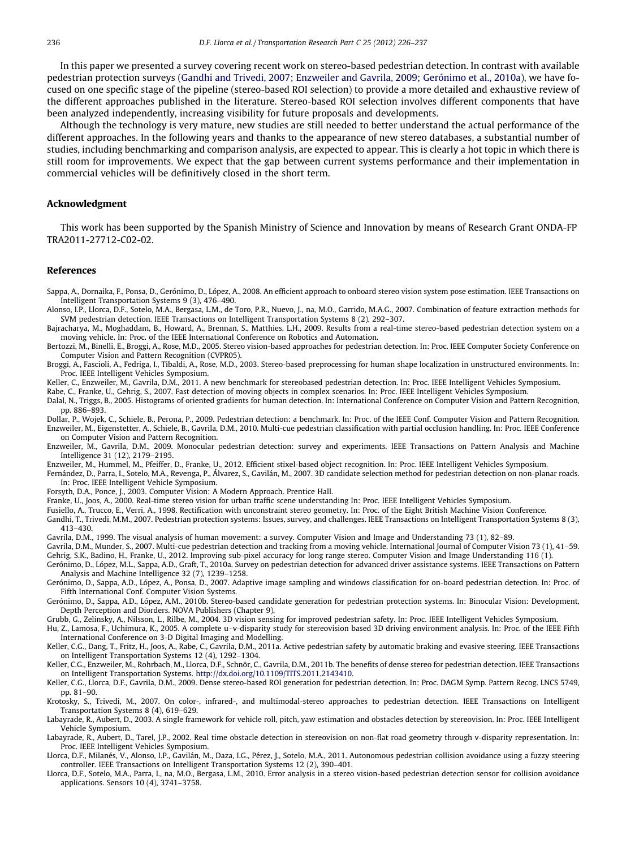<span id="page-10-0"></span>In this paper we presented a survey covering recent work on stereo-based pedestrian detection. In contrast with available pedestrian protection surveys (Gandhi and Trivedi, 2007; Enzweiler and Gavrila, 2009; Gerónimo et al., 2010a), we have focused on one specific stage of the pipeline (stereo-based ROI selection) to provide a more detailed and exhaustive review of the different approaches published in the literature. Stereo-based ROI selection involves different components that have been analyzed independently, increasing visibility for future proposals and developments.

Although the technology is very mature, new studies are still needed to better understand the actual performance of the different approaches. In the following years and thanks to the appearance of new stereo databases, a substantial number of studies, including benchmarking and comparison analysis, are expected to appear. This is clearly a hot topic in which there is still room for improvements. We expect that the gap between current systems performance and their implementation in commercial vehicles will be definitively closed in the short term.

#### Acknowledgment

This work has been supported by the Spanish Ministry of Science and Innovation by means of Research Grant ONDA-FP TRA2011-27712-C02-02.

#### References

- Sappa, A., Dornaika, F., Ponsa, D., Gerónimo, D., López, A., 2008. An efficient approach to onboard stereo vision system pose estimation. IEEE Transactions on Intelligent Transportation Systems 9 (3), 476–490.
- Alonso, I.P., Llorca, D.F., Sotelo, M.A., Bergasa, L.M., de Toro, P.R., Nuevo, J., na, M.O., Garrido, M.A.G., 2007. Combination of feature extraction methods for SVM pedestrian detection. IEEE Transactions on Intelligent Transportation Systems 8 (2), 292–307.
- Bajracharya, M., Moghaddam, B., Howard, A., Brennan, S., Matthies, L.H., 2009. Results from a real-time stereo-based pedestrian detection system on a moving vehicle. In: Proc. of the IEEE International Conference on Robotics and Automation.
- Bertozzi, M., Binelli, E., Broggi, A., Rose, M.D., 2005. Stereo vision-based approaches for pedestrian detection. In: Proc. IEEE Computer Society Conference on Computer Vision and Pattern Recognition (CVPR05).
- Broggi, A., Fascioli, A., Fedriga, I., Tibaldi, A., Rose, M.D., 2003. Stereo-based preprocessing for human shape localization in unstructured environments. In: Proc. IEEE Intelligent Vehicles Symposium.
- Keller, C., Enzweiler, M., Gavrila, D.M., 2011. A new benchmark for stereobased pedestrian detection. In: Proc. IEEE Intelligent Vehicles Symposium.

Rabe, C., Franke, U., Gehrig, S., 2007. Fast detection of moving objects in complex scenarios. In: Proc. IEEE Intelligent Vehicles Symposium.

- Dalal, N., Triggs, B., 2005. Histograms of oriented gradients for human detection. In: International Conference on Computer Vision and Pattern Recognition, pp. 886–893.
- Dollar, P., Wojek, C., Schiele, B., Perona, P., 2009. Pedestrian detection: a benchmark. In: Proc. of the IEEE Conf. Computer Vision and Pattern Recognition. Enzweiler, M., Eigenstetter, A., Schiele, B., Gavrila, D.M., 2010. Multi-cue pedestrian classification with partial occlusion handling. In: Proc. IEEE Conference on Computer Vision and Pattern Recognition.
- Enzweiler, M., Gavrila, D.M., 2009. Monocular pedestrian detection: survey and experiments. IEEE Transactions on Pattern Analysis and Machine Intelligence 31 (12), 2179–2195.
- Enzweiler, M., Hummel, M., Pfeiffer, D., Franke, U., 2012. Efficient stixel-based object recognition. In: Proc. IEEE Intelligent Vehicles Symposium.
- Fernández, D., Parra, I., Sotelo, M.A., Revenga, P., Álvarez, S., Gavilán, M., 2007. 3D candidate selection method for pedestrian detection on non-planar roads. In: Proc. IEEE Intelligent Vehicle Symposium.
- Forsyth, D.A., Ponce, J., 2003. Computer Vision: A Modern Approach. Prentice Hall.
- Franke, U., Joos, A., 2000. Real-time stereo vision for urban traffic scene understanding In: Proc. IEEE Intelligent Vehicles Symposium.
- Fusiello, A., Trucco, E., Verri, A., 1998. Rectification with unconstraint stereo geometry. In: Proc. of the Eight British Machine Vision Conference.
- Gandhi, T., Trivedi, M.M., 2007. Pedestrian protection systems: Issues, survey, and challenges. IEEE Transactions on Intelligent Transportation Systems 8 (3), 413–430.
- Gavrila, D.M., 1999. The visual analysis of human movement: a survey. Computer Vision and Image and Understanding 73 (1), 82–89.
- Gavrila, D.M., Munder, S., 2007. Multi-cue pedestrian detection and tracking from a moving vehicle. International Journal of Computer Vision 73 (1), 41–59. Gehrig, S.K., Badino, H., Franke, U., 2012. Improving sub-pixel accuracy for long range stereo. Computer Vision and Image Understanding 116 (1).
- Gerónimo, D., López, M.L., Sappa, A.D., Graft, T., 2010a. Survey on pedestrian detection for advanced driver assistance systems. IEEE Transactions on Pattern Analysis and Machine Intelligence 32 (7), 1239–1258.
- Gerónimo, D., Sappa, A.D., López, A., Ponsa, D., 2007. Adaptive image sampling and windows classification for on-board pedestrian detection. In: Proc. of Fifth International Conf. Computer Vision Systems.
- Gerónimo, D., Sappa, A.D., López, A.M., 2010b. Stereo-based candidate generation for pedestrian protection systems. In: Binocular Vision: Development, Depth Perception and Diorders. NOVA Publishers (Chapter 9).
- Grubb, G., Zelinsky, A., Nilsson, L., Rilbe, M., 2004. 3D vision sensing for improved pedestrian safety. In: Proc. IEEE Intelligent Vehicles Symposium.
- Hu, Z., Lamosa, F., Uchimura, K., 2005. A complete u–v-disparity study for stereovision based 3D driving environment analysis. In: Proc. of the IEEE Fifth International Conference on 3-D Digital Imaging and Modelling.
- Keller, C.G., Dang, T., Fritz, H., Joos, A., Rabe, C., Gavrila, D.M., 2011a. Active pedestrian safety by automatic braking and evasive steering. IEEE Transactions on Intelligent Transportation Systems 12 (4), 1292–1304.
- Keller, C.G., Enzweiler, M., Rohrbach, M., Llorca, D.F., Schnör, C., Gavrila, D.M., 2011b. The benefits of dense stereo for pedestrian detection. IEEE Transactions on Intelligent Transportation Systems. http://dx.doi.org/[10.1109/TITS.2011.2143410.](http://dx.doi.org/10.1109/TITS.2011.2143410)
- Keller, C.G., Llorca, D.F., Gavrila, D.M., 2009. Dense stereo-based ROI generation for pedestrian detection. In: Proc. DAGM Symp. Pattern Recog. LNCS 5749, pp. 81–90.
- Krotosky, S., Trivedi, M., 2007. On color-, infrared-, and multimodal-stereo approaches to pedestrian detection. IEEE Transactions on Intelligent Transportation Systems 8 (4), 619–629.
- Labayrade, R., Aubert, D., 2003. A single framework for vehicle roll, pitch, yaw estimation and obstacles detection by stereovision. In: Proc. IEEE Intelligent Vehicle Symposium.
- Labayrade, R., Aubert, D., Tarel, J.P., 2002. Real time obstacle detection in stereovision on non-flat road geometry through v-disparity representation. In: Proc. IEEE Intelligent Vehicles Symposium.
- Llorca, D.F., Milanés, V., Alonso, I.P., Gavilán, M., Daza, I.G., Pérez, J., Sotelo, M.A., 2011. Autonomous pedestrian collision avoidance using a fuzzy steering controller. IEEE Transactions on Intelligent Transportation Systems 12 (2), 390–401.
- Llorca, D.F., Sotelo, M.A., Parra, I., na, M.O., Bergasa, L.M., 2010. Error analysis in a stereo vision-based pedestrian detection sensor for collision avoidance applications. Sensors 10 (4), 3741–3758.